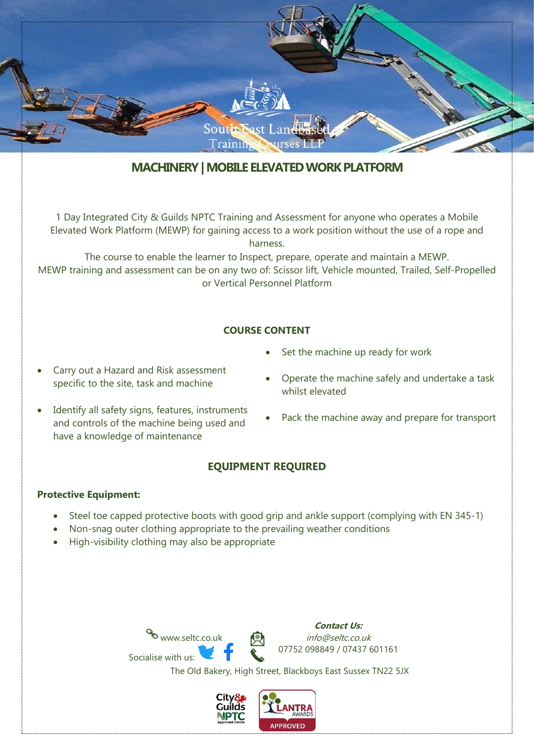

# **MACHINERY| MOBILE ELEVATED WORK PLATFORM**

1 Day Integrated City & Guilds NPTC Training and Assessment for anyone who operates a Mobile Elevated Work Platform (MEWP) for gaining access to a work position without the use of a rope and harness.

The course to enable the learner to Inspect, prepare, operate and maintain a MEWP. MEWP training and assessment can be on any two of: Scissor lift, Vehicle mounted, Trailed, Self-Propelled or Vertical Personnel Platform

## **COURSE CONTENT**

- Carry out a Hazard and Risk assessment specific to the site, task and machine
- Identify all safety signs, features, instruments and controls of the machine being used and have a knowledge of maintenance
- Set the machine up ready for work
- Operate the machine safely and undertake a task whilst elevated
- Pack the machine away and prepare for transport

## **EQUIPMENT REQUIRED**

#### **Protective Equipment:**

- Steel toe capped protective boots with good grip and ankle support (complying with EN 345-1)
- Non-snag outer clothing appropriate to the prevailing weather conditions
- High-visibility clothing may also be appropriate